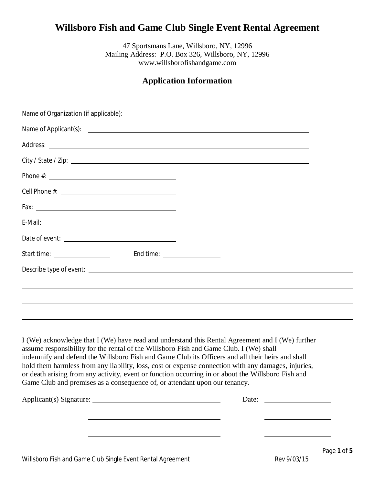# **Willsboro Fish and Game Club Single Event Rental Agreement**

47 Sportsmans Lane, Willsboro, NY, 12996 Mailing Address: P.O. Box 326, Willsboro, NY, 12996 www.willsborofishandgame.com

## **Application Information**

| Start time: __________________                                                                                                                                                                                                                                                                                                                                                                                                                                                                                                                                                            |       |
|-------------------------------------------------------------------------------------------------------------------------------------------------------------------------------------------------------------------------------------------------------------------------------------------------------------------------------------------------------------------------------------------------------------------------------------------------------------------------------------------------------------------------------------------------------------------------------------------|-------|
|                                                                                                                                                                                                                                                                                                                                                                                                                                                                                                                                                                                           |       |
|                                                                                                                                                                                                                                                                                                                                                                                                                                                                                                                                                                                           |       |
|                                                                                                                                                                                                                                                                                                                                                                                                                                                                                                                                                                                           |       |
|                                                                                                                                                                                                                                                                                                                                                                                                                                                                                                                                                                                           |       |
| I (We) acknowledge that I (We) have read and understand this Rental Agreement and I (We) further<br>assume responsibility for the rental of the Willsboro Fish and Game Club. I (We) shall<br>indemnify and defend the Willsboro Fish and Game Club its Officers and all their heirs and shall<br>hold them harmless from any liability, loss, cost or expense connection with any damages, injuries,<br>or death arising from any activity, event or function occurring in or about the Willsboro Fish and<br>Game Club and premises as a consequence of, or attendant upon our tenancy. |       |
| Applicant(s) Signature:                                                                                                                                                                                                                                                                                                                                                                                                                                                                                                                                                                   | Date: |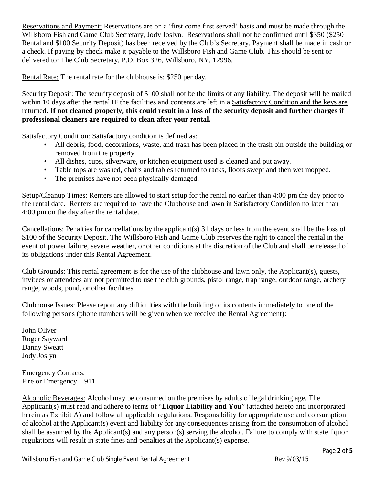Reservations and Payment: Reservations are on a 'first come first served' basis and must be made through the Willsboro Fish and Game Club Secretary, Jody Joslyn. Reservations shall not be confirmed until \$350 (\$250 Rental and \$100 Security Deposit) has been received by the Club's Secretary. Payment shall be made in cash or a check. If paying by check make it payable to the Willsboro Fish and Game Club. This should be sent or delivered to: The Club Secretary, P.O. Box 326, Willsboro, NY, 12996.

Rental Rate: The rental rate for the clubhouse is: \$250 per day.

Security Deposit: The security deposit of \$100 shall not be the limits of any liability. The deposit will be mailed within 10 days after the rental IF the facilities and contents are left in a Satisfactory Condition and the keys are returned. **If not cleaned properly, this could result in a loss of the security deposit and further charges if professional cleaners are required to clean after your rental.**

Satisfactory Condition: Satisfactory condition is defined as:

- All debris, food, decorations, waste, and trash has been placed in the trash bin outside the building or removed from the property.
- All dishes, cups, silverware, or kitchen equipment used is cleaned and put away.
- Table tops are washed, chairs and tables returned to racks, floors swept and then wet mopped.
- The premises have not been physically damaged.

Setup/Cleanup Times: Renters are allowed to start setup for the rental no earlier than 4:00 pm the day prior to the rental date. Renters are required to have the Clubhouse and lawn in Satisfactory Condition no later than 4:00 pm on the day after the rental date.

Cancellations: Penalties for cancellations by the applicant(s) 31 days or less from the event shall be the loss of \$100 of the Security Deposit. The Willsboro Fish and Game Club reserves the right to cancel the rental in the event of power failure, severe weather, or other conditions at the discretion of the Club and shall be released of its obligations under this Rental Agreement.

Club Grounds: This rental agreement is for the use of the clubhouse and lawn only, the Applicant(s), guests, invitees or attendees are not permitted to use the club grounds, pistol range, trap range, outdoor range, archery range, woods, pond, or other facilities.

Clubhouse Issues: Please report any difficulties with the building or its contents immediately to one of the following persons (phone numbers will be given when we receive the Rental Agreement):

John Oliver Roger Sayward Danny Sweatt Jody Joslyn

Emergency Contacts: Fire or Emergency – 911

Alcoholic Beverages: Alcohol may be consumed on the premises by adults of legal drinking age. The Applicant(s) must read and adhere to terms of "**Liquor Liability and You**" (attached hereto and incorporated herein as Exhibit A) and follow all applicable regulations. Responsibility for appropriate use and consumption of alcohol at the Applicant(s) event and liability for any consequences arising from the consumption of alcohol shall be assumed by the Applicant(s) and any person(s) serving the alcohol. Failure to comply with state liquor regulations will result in state fines and penalties at the Applicant(s) expense.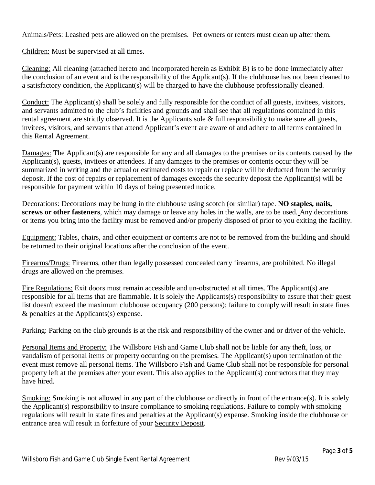Animals/Pets: Leashed pets are allowed on the premises. Pet owners or renters must clean up after them.

Children: Must be supervised at all times.

Cleaning: All cleaning (attached hereto and incorporated herein as Exhibit B) is to be done immediately after the conclusion of an event and is the responsibility of the Applicant(s). If the clubhouse has not been cleaned to a satisfactory condition, the Applicant(s) will be charged to have the clubhouse professionally cleaned.

Conduct: The Applicant(s) shall be solely and fully responsible for the conduct of all guests, invitees, visitors, and servants admitted to the club's facilities and grounds and shall see that all regulations contained in this rental agreement are strictly observed. It is the Applicants sole & full responsibility to make sure all guests, invitees, visitors, and servants that attend Applicant's event are aware of and adhere to all terms contained in this Rental Agreement.

Damages: The Applicant(s) are responsible for any and all damages to the premises or its contents caused by the Applicant(s), guests, invitees or attendees. If any damages to the premises or contents occur they will be summarized in writing and the actual or estimated costs to repair or replace will be deducted from the security deposit. If the cost of repairs or replacement of damages exceeds the security deposit the Applicant(s) will be responsible for payment within 10 days of being presented notice.

Decorations: Decorations may be hung in the clubhouse using scotch (or similar) tape. **NO staples, nails, screws or other fasteners**, which may damage or leave any holes in the walls, are to be used. Any decorations or items you bring into the facility must be removed and/or properly disposed of prior to you exiting the facility.

Equipment: Tables, chairs, and other equipment or contents are not to be removed from the building and should be returned to their original locations after the conclusion of the event.

Firearms/Drugs: Firearms, other than legally possessed concealed carry firearms, are prohibited. No illegal drugs are allowed on the premises.

Fire Regulations: Exit doors must remain accessible and un-obstructed at all times. The Applicant(s) are responsible for all items that are flammable. It is solely the Applicants(s) responsibility to assure that their guest list doesn't exceed the maximum clubhouse occupancy (200 persons); failure to comply will result in state fines & penalties at the Applicants(s) expense.

Parking: Parking on the club grounds is at the risk and responsibility of the owner and or driver of the vehicle.

Personal Items and Property: The Willsboro Fish and Game Club shall not be liable for any theft, loss, or vandalism of personal items or property occurring on the premises. The Applicant(s) upon termination of the event must remove all personal items. The Willsboro Fish and Game Club shall not be responsible for personal property left at the premises after your event. This also applies to the Applicant(s) contractors that they may have hired.

Smoking: Smoking is not allowed in any part of the clubhouse or directly in front of the entrance(s). It is solely the Applicant(s) responsibility to insure compliance to smoking regulations. Failure to comply with smoking regulations will result in state fines and penalties at the Applicant(s) expense. Smoking inside the clubhouse or entrance area will result in forfeiture of your Security Deposit.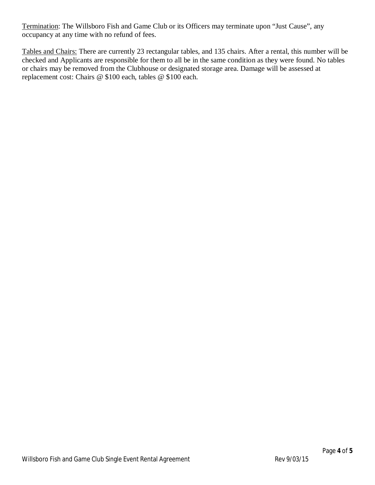Termination: The Willsboro Fish and Game Club or its Officers may terminate upon "Just Cause", any occupancy at any time with no refund of fees.

Tables and Chairs: There are currently 23 rectangular tables, and 135 chairs. After a rental, this number will be checked and Applicants are responsible for them to all be in the same condition as they were found. No tables or chairs may be removed from the Clubhouse or designated storage area. Damage will be assessed at replacement cost: Chairs @ \$100 each, tables @ \$100 each.